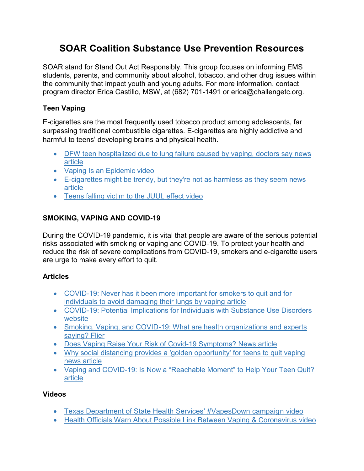# **SOAR Coalition Substance Use Prevention Resources**

SOAR stand for Stand Out Act Responsibly. This group focuses on informing EMS students, parents, and community about alcohol, tobacco, and other drug issues within the community that impact youth and young adults. For more information, contact program director Erica Castillo, MSW, at (682) 701-1491 or [erica@challengetc.org.](mailto:erica@challengetc.org)

## **Teen Vaping**

E-cigarettes are the most frequently used tobacco product among adolescents, far surpassing traditional combustible cigarettes. E-cigarettes are highly addictive and harmful to teens' developing brains and physical health.

- [DFW teen hospitalized due to lung failure caused by vaping, doctors say](https://www.star-telegram.com/news/local/article234184982.html) news [article](https://www.star-telegram.com/news/local/article234184982.html)
- [Vaping Is an Epidemic video](https://www.youtube.com/watch?v=zYuyS1Oq8gY)
- [E-cigarettes might be trendy, but they're not as harmless as they seem](https://www.star-telegram.com/news/article234204012.html) news [article](https://www.star-telegram.com/news/article234204012.html)
- [Teens falling victim to the JUUL effect](https://www.youtube.com/watch?v=u7JrGN7Q1Gs) video

## **SMOKING, VAPING AND COVID-19**

During the COVID-19 pandemic, it is vital that people are aware of the serious potential risks associated with smoking or vaping and COVID-19. To protect your health and reduce the risk of severe complications from COVID-19, smokers and e-cigarette users are urge to make every effort to quit.

## **Articles**

- [COVID-19: Never has it been more important for smokers to quit and for](https://www.tobaccofreekids.org/press-releases/2020_03_20_covid-19)  [individuals to avoid damaging their lungs by vaping](https://www.tobaccofreekids.org/press-releases/2020_03_20_covid-19) article
- [COVID-19: Potential Implications for Individuals with Substance Use Disorders](https://www.drugabuse.gov/about-nida/noras-blog/2020/04/covid-19-potential-implications-individuals-substance-use-disorders) [website](https://www.drugabuse.gov/about-nida/noras-blog/2020/04/covid-19-potential-implications-individuals-substance-use-disorders)
- [Smoking, Vaping, and COVID-19: What are health organizations](https://www.tobaccofreekids.org/assets/factsheets/0410.pdf) and experts [saying?](https://www.tobaccofreekids.org/assets/factsheets/0410.pdf) Flier
- [Does Vaping Raise Your Risk of Covid-19 Symptoms?](https://www.wired.com/story/does-vaping-raise-your-risk-of-covid-19-symptoms/) News article
- [Why social distancing provides a 'golden opportunity' for teens to quit vaping](https://www.today.com/parents/social-distancing-golden-opportunity-quit-vaping-t176683) [news article](https://www.today.com/parents/social-distancing-golden-opportunity-quit-vaping-t176683)
- Vaping and COVID-[19: Is Now a "Reachable Moment" to Help Your Teen Quit?](https://www.yalemedicine.org/stories/vaping-covid-19/) [article](https://www.yalemedicine.org/stories/vaping-covid-19/)

## **Videos**

- [Texas Department of State Health Services' #VapesDown campaig](https://www.instagram.com/p/B-QDNJPnnrz/)n video
- [Health Officials Warn About Possible Link Between Vaping & Coronavirus](https://www.youtube.com/watch?v=M3TDAT5GK2c) video